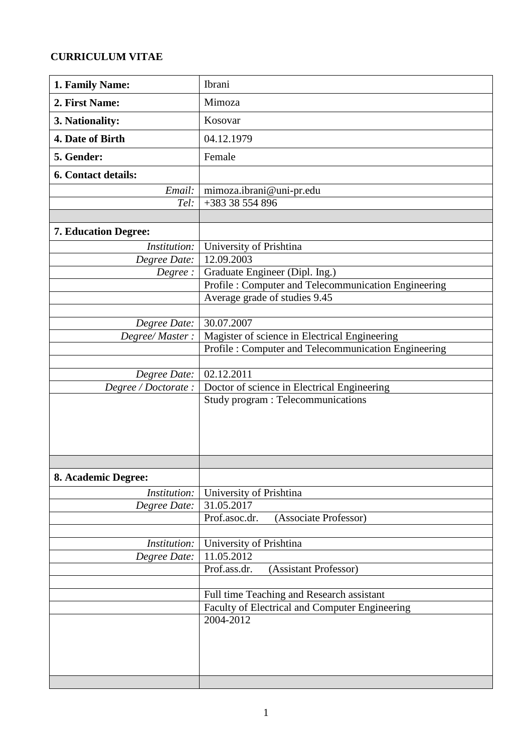## **CURRICULUM VITAE**

| 1. Family Name:             | Ibrani                                              |  |  |  |
|-----------------------------|-----------------------------------------------------|--|--|--|
| 2. First Name:              | Mimoza                                              |  |  |  |
| 3. Nationality:             | Kosovar                                             |  |  |  |
| 4. Date of Birth            | 04.12.1979                                          |  |  |  |
| 5. Gender:                  | Female                                              |  |  |  |
| 6. Contact details:         |                                                     |  |  |  |
| Email:                      | mimoza.ibrani@uni-pr.edu                            |  |  |  |
| Tel:                        | +383 38 554 896                                     |  |  |  |
|                             |                                                     |  |  |  |
| <b>7. Education Degree:</b> |                                                     |  |  |  |
| Institution:                | University of Prishtina                             |  |  |  |
| Degree Date:                | 12.09.2003                                          |  |  |  |
| Degree:                     | Graduate Engineer (Dipl. Ing.)                      |  |  |  |
|                             | Profile: Computer and Telecommunication Engineering |  |  |  |
|                             | Average grade of studies 9.45                       |  |  |  |
|                             |                                                     |  |  |  |
| Degree Date:                | 30.07.2007                                          |  |  |  |
| Degree/Master:              | Magister of science in Electrical Engineering       |  |  |  |
|                             | Profile: Computer and Telecommunication Engineering |  |  |  |
|                             |                                                     |  |  |  |
| Degree Date:                | 02.12.2011                                          |  |  |  |
| Degree / Doctorate :        | Doctor of science in Electrical Engineering         |  |  |  |
|                             | Study program : Telecommunications                  |  |  |  |
|                             |                                                     |  |  |  |
|                             |                                                     |  |  |  |
|                             |                                                     |  |  |  |
|                             |                                                     |  |  |  |
|                             |                                                     |  |  |  |
| 8. Academic Degree:         |                                                     |  |  |  |
| <i>Institution:</i>         | University of Prishtina                             |  |  |  |
| Degree Date:                | 31.05.2017                                          |  |  |  |
|                             | Prof.asoc.dr.<br>(Associate Professor)              |  |  |  |
|                             |                                                     |  |  |  |
| Institution:                | University of Prishtina                             |  |  |  |
| Degree Date:                | 11.05.2012                                          |  |  |  |
|                             | Prof.ass.dr.<br>(Assistant Professor)               |  |  |  |
|                             |                                                     |  |  |  |
|                             | Full time Teaching and Research assistant           |  |  |  |
|                             | Faculty of Electrical and Computer Engineering      |  |  |  |
|                             | 2004-2012                                           |  |  |  |
|                             |                                                     |  |  |  |
|                             |                                                     |  |  |  |
|                             |                                                     |  |  |  |
|                             |                                                     |  |  |  |
|                             |                                                     |  |  |  |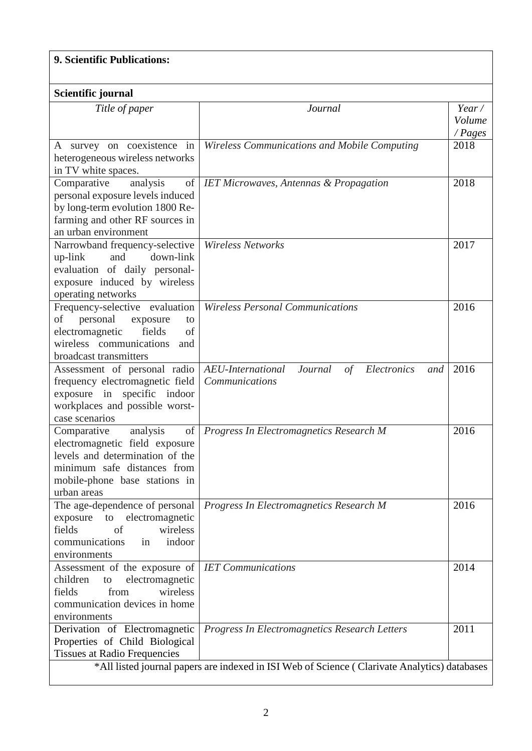## **9. Scientific Publications:**

| Scientific journal                                                                                                                                                                |                                                                                                                                               |                                   |  |  |  |
|-----------------------------------------------------------------------------------------------------------------------------------------------------------------------------------|-----------------------------------------------------------------------------------------------------------------------------------------------|-----------------------------------|--|--|--|
|                                                                                                                                                                                   |                                                                                                                                               |                                   |  |  |  |
| Title of paper                                                                                                                                                                    | Journal                                                                                                                                       | Year/<br>Volume<br>$\angle$ Pages |  |  |  |
| A survey on coexistence in<br>heterogeneous wireless networks<br>in TV white spaces.                                                                                              | Wireless Communications and Mobile Computing                                                                                                  |                                   |  |  |  |
| of<br>Comparative<br>analysis<br>personal exposure levels induced<br>by long-term evolution 1800 Re-<br>farming and other RF sources in<br>an urban environment                   | <b>IET Microwaves, Antennas &amp; Propagation</b>                                                                                             | 2018                              |  |  |  |
| Narrowband frequency-selective<br>down-link<br>and<br>up-link<br>evaluation of daily personal-<br>exposure induced by wireless<br>operating networks                              | Wireless Networks                                                                                                                             | 2017                              |  |  |  |
| Frequency-selective evaluation<br>personal<br>οf<br>exposure<br>to<br>electromagnetic<br>fields<br>of<br>wireless communications<br>and<br>broadcast transmitters                 | <b>Wireless Personal Communications</b>                                                                                                       | 2016                              |  |  |  |
| Assessment of personal radio<br>frequency electromagnetic field<br>exposure in specific indoor<br>workplaces and possible worst-<br>case scenarios                                | AEU-International<br>Journal<br>Electronics<br>of<br>and<br>Communications                                                                    | 2016                              |  |  |  |
| of<br>analysis<br>Comparative<br>electromagnetic field exposure<br>levels and determination of the<br>minimum safe distances from<br>mobile-phone base stations in<br>urban areas | Progress In Electromagnetics Research M                                                                                                       | 2016                              |  |  |  |
| The age-dependence of personal<br>to electromagnetic<br>exposure<br>fields<br>wireless<br>of<br>in<br>indoor<br>communications<br>environments                                    | Progress In Electromagnetics Research M                                                                                                       | 2016                              |  |  |  |
| Assessment of the exposure of<br>electromagnetic<br>children<br>to<br>from<br>wireless<br>fields<br>communication devices in home<br>environments                                 | <b>IET</b> Communications                                                                                                                     | 2014                              |  |  |  |
| Derivation of Electromagnetic<br>Properties of Child Biological<br><b>Tissues at Radio Frequencies</b>                                                                            | Progress In Electromagnetics Research Letters<br>*All listed journal papers are indexed in ISI Web of Science (Clarivate Analytics) databases | 2011                              |  |  |  |
|                                                                                                                                                                                   |                                                                                                                                               |                                   |  |  |  |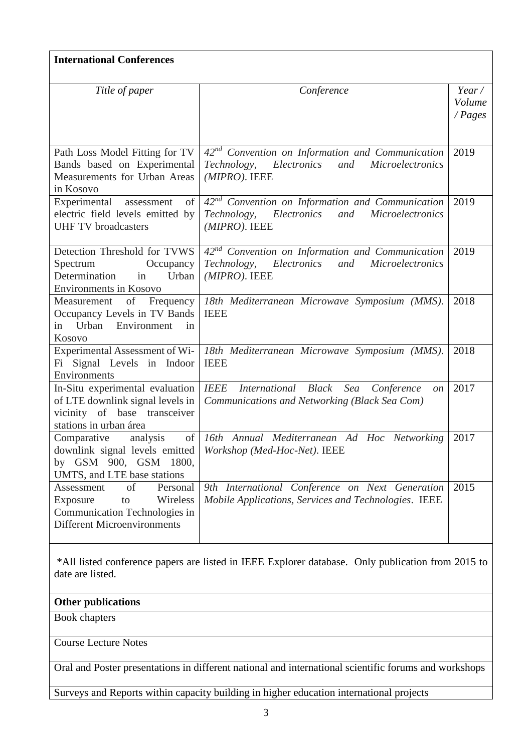| <b>International Conferences</b>                                                                                                  |                                                                                                                                     |                            |  |  |  |
|-----------------------------------------------------------------------------------------------------------------------------------|-------------------------------------------------------------------------------------------------------------------------------------|----------------------------|--|--|--|
| Title of paper                                                                                                                    | Conference                                                                                                                          | Year/<br>Volume<br>/ Pages |  |  |  |
| Path Loss Model Fitting for TV<br>Bands based on Experimental<br>Measurements for Urban Areas<br>in Kosovo                        | 42 <sup>nd</sup> Convention on Information and Communication<br>Electronics and<br>Technology,<br>Microelectronics<br>(MIPRO). IEEE | 2019                       |  |  |  |
| Experimental assessment<br>of<br>electric field levels emitted by<br><b>UHF TV</b> broadcasters                                   | $42nd$ Convention on Information and Communication<br>Technology, Electronics<br>and<br><b>Microelectronics</b><br>$(MIPRO)$ . IEEE | 2019                       |  |  |  |
| Detection Threshold for TVWS<br>Spectrum<br>Occupancy<br>Determination<br>in<br>Urban<br><b>Environments in Kosovo</b>            | $42nd$ Convention on Information and Communication<br>Technology, Electronics<br>and<br><b>Microelectronics</b><br>$(MIPRO)$ . IEEE | 2019                       |  |  |  |
| of Frequency<br>Measurement<br>Occupancy Levels in TV Bands<br>Urban Environment<br>in<br>in<br>Kosovo                            | 18th Mediterranean Microwave Symposium (MMS).<br><b>IEEE</b>                                                                        | 2018                       |  |  |  |
| Experimental Assessment of Wi-<br>Fi Signal Levels in Indoor<br>Environments                                                      | 18th Mediterranean Microwave Symposium (MMS).<br><b>IEEE</b>                                                                        | 2018                       |  |  |  |
| In-Situ experimental evaluation<br>of LTE downlink signal levels in<br>vicinity of base transceiver<br>stations in urban área     | <b>IEEE</b><br>International Black<br>Sea Conference<br><i>on</i><br>Communications and Networking (Black Sea Com)                  | 2017                       |  |  |  |
| Comparative<br>analysis<br>by GSM 900, GSM 1800,<br>UMTS, and LTE base stations                                                   | of 16th Annual Mediterranean Ad Hoc Networking<br>downlink signal levels emitted   Workshop (Med-Hoc-Net). IEEE                     | 2017                       |  |  |  |
| of<br>Personal<br>Assessment<br>Wireless<br>Exposure<br>to<br>Communication Technologies in<br><b>Different Microenvironments</b> | 9th International Conference on Next Generation<br>Mobile Applications, Services and Technologies. IEEE                             | 2015                       |  |  |  |

\*All listed conference papers are listed in IEEE Explorer database. Only publication from 2015 to date are listed.

## **Other publications**

Book chapters

Course Lecture Notes

Oral and Poster presentations in different national and international scientific forums and workshops

Surveys and Reports within capacity building in higher education international projects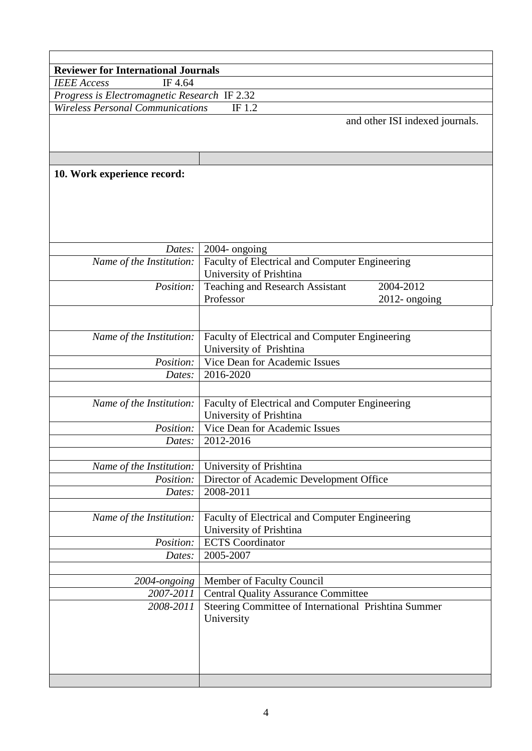| <b>Reviewer for International Journals</b>                                                        |                                                                           |  |  |  |  |
|---------------------------------------------------------------------------------------------------|---------------------------------------------------------------------------|--|--|--|--|
| IF 4.64<br><b>IEEE</b> Access                                                                     |                                                                           |  |  |  |  |
| Progress is Electromagnetic Research IF 2.32<br><b>Wireless Personal Communications</b><br>IF 1.2 |                                                                           |  |  |  |  |
|                                                                                                   | and other ISI indexed journals.                                           |  |  |  |  |
|                                                                                                   |                                                                           |  |  |  |  |
|                                                                                                   |                                                                           |  |  |  |  |
|                                                                                                   |                                                                           |  |  |  |  |
|                                                                                                   |                                                                           |  |  |  |  |
| 10. Work experience record:                                                                       |                                                                           |  |  |  |  |
|                                                                                                   |                                                                           |  |  |  |  |
|                                                                                                   |                                                                           |  |  |  |  |
|                                                                                                   |                                                                           |  |  |  |  |
|                                                                                                   |                                                                           |  |  |  |  |
| Dates:                                                                                            | 2004- ongoing                                                             |  |  |  |  |
| Name of the Institution:                                                                          | Faculty of Electrical and Computer Engineering                            |  |  |  |  |
|                                                                                                   | University of Prishtina                                                   |  |  |  |  |
| Position:                                                                                         | Teaching and Research Assistant<br>2004-2012                              |  |  |  |  |
|                                                                                                   | Professor<br>$2012$ - ongoing                                             |  |  |  |  |
|                                                                                                   |                                                                           |  |  |  |  |
|                                                                                                   |                                                                           |  |  |  |  |
| Name of the Institution:                                                                          | Faculty of Electrical and Computer Engineering                            |  |  |  |  |
|                                                                                                   | University of Prishtina                                                   |  |  |  |  |
| Position:                                                                                         | Vice Dean for Academic Issues                                             |  |  |  |  |
| Dates:                                                                                            | 2016-2020                                                                 |  |  |  |  |
|                                                                                                   |                                                                           |  |  |  |  |
| Name of the Institution:                                                                          |                                                                           |  |  |  |  |
|                                                                                                   | Faculty of Electrical and Computer Engineering<br>University of Prishtina |  |  |  |  |
| Position:                                                                                         | Vice Dean for Academic Issues                                             |  |  |  |  |
| Dates:                                                                                            | 2012-2016                                                                 |  |  |  |  |
|                                                                                                   |                                                                           |  |  |  |  |
| Name of the Institution:                                                                          | University of Prishtina                                                   |  |  |  |  |
| Position:                                                                                         | Director of Academic Development Office                                   |  |  |  |  |
| Dates:                                                                                            | 2008-2011                                                                 |  |  |  |  |
|                                                                                                   |                                                                           |  |  |  |  |
| Name of the Institution:                                                                          | Faculty of Electrical and Computer Engineering                            |  |  |  |  |
|                                                                                                   | University of Prishtina                                                   |  |  |  |  |
| Position:                                                                                         | <b>ECTS</b> Coordinator                                                   |  |  |  |  |
| Dates:                                                                                            | 2005-2007                                                                 |  |  |  |  |
|                                                                                                   |                                                                           |  |  |  |  |
| 2004-ongoing                                                                                      | Member of Faculty Council                                                 |  |  |  |  |
| 2007-2011                                                                                         | <b>Central Quality Assurance Committee</b>                                |  |  |  |  |
| 2008-2011                                                                                         | Steering Committee of International Prishtina Summer                      |  |  |  |  |
|                                                                                                   | University                                                                |  |  |  |  |
|                                                                                                   |                                                                           |  |  |  |  |
|                                                                                                   |                                                                           |  |  |  |  |
|                                                                                                   |                                                                           |  |  |  |  |
|                                                                                                   |                                                                           |  |  |  |  |
|                                                                                                   |                                                                           |  |  |  |  |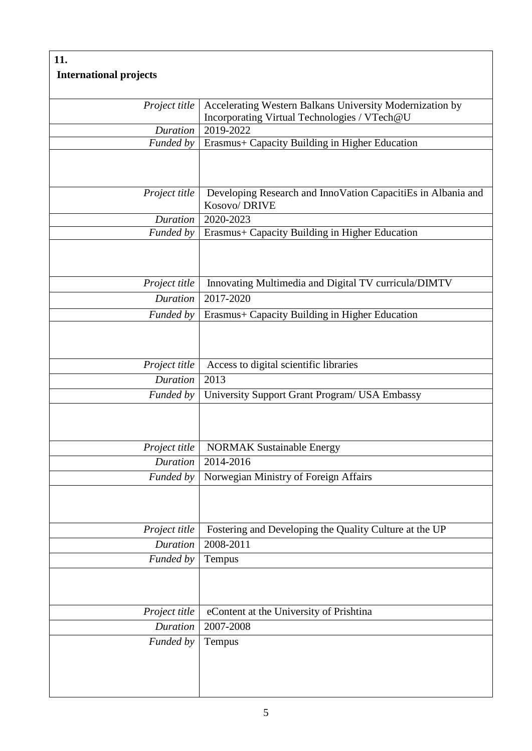## **11. International projects** *Project title* | Accelerating Western Balkans University Modernization by Incorporating Virtual Technologies / VTech@U *Duration* 2019-2022 *Funded by* Erasmus+ Capacity Building in Higher Education *Project title* Developing Research and InnoVation CapacitiEs in Albania and Kosovo/ DRIVE *Duration* 2020-2023 *Funded by* Erasmus+ Capacity Building in Higher Education *Project title* | Innovating Multimedia and Digital TV curricula/DIMTV *Duration* 2017-2020 *Funded by* Erasmus+ Capacity Building in Higher Education *Project title* | Access to digital scientific libraries *Duration* 2013 *Funded by* University Support Grant Program/ USA Embassy *Project title* | NORMAK Sustainable Energy *Duration* 2014-2016 *Funded by* Norwegian Ministry of Foreign Affairs *Project title* Fostering and Developing the Quality Culture at the UP *Duration* 2008-2011 *Funded by* Tempus *Project title* | eContent at the University of Prishtina *Duration* 2007-2008 *Funded by* Tempus